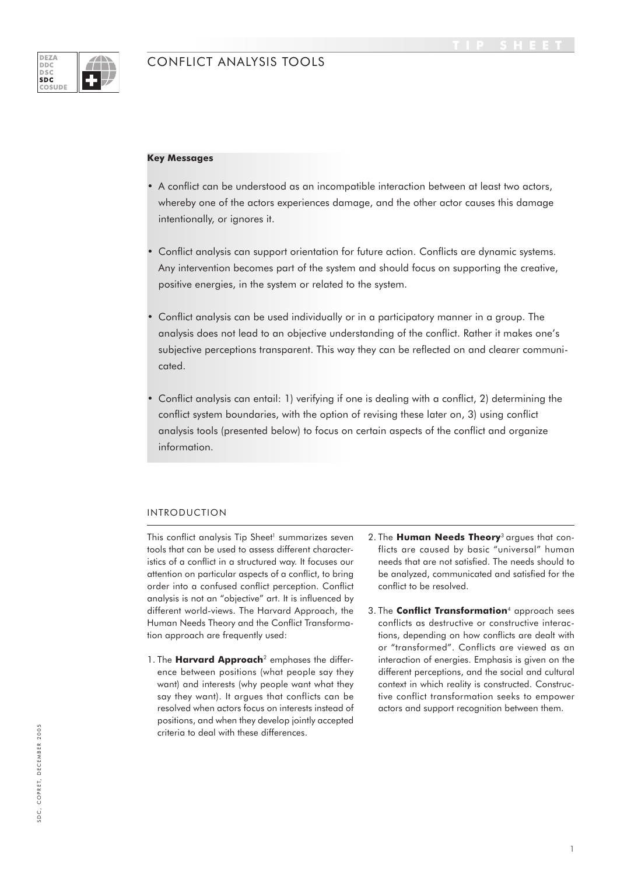### **DEZA**<br>**DDC**  $DSC$  $50<sub>c</sub>$ **COSUD**

# CONFLICT ANALYSIS TOOLS

### **Key Messages**

- A conflict can be understood as an incompatible interaction between at least two actors, whereby one of the actors experiences damage, and the other actor causes this damage intentionally, or ignores it.
- Conflict analysis can support orientation for future action. Conflicts are dynamic systems. Any intervention becomes part of the system and should focus on supporting the creative, positive energies, in the system or related to the system.
- Conflict analysis can be used individually or in a participatory manner in a group. The analysis does not lead to an objective understanding of the conflict. Rather it makes one's subjective perceptions transparent. This way they can be reflected on and clearer communicated.
- Conflict analysis can entail: 1) verifying if one is dealing with a conflict, 2) determining the conflict system boundaries, with the option of revising these later on, 3) using conflict analysis tools (presented below) to focus on certain aspects of the conflict and organize information.

# INTRODUCTION

This conflict analysis Tip Sheet<sup>1</sup> summarizes seven tools that can be used to assess different characteristics of a conflict in a structured way. It focuses our attention on particular aspects of a conflict, to bring order into a confused conflict perception. Conflict analysis is not an "objective" art. It is influenced by different world-views. The Harvard Approach, the Human Needs Theory and the Conflict Transformation approach are frequently used:

- 1. The **Harvard Approach**2 emphases the difference between positions (what people say they want) and interests (why people want what they say they want). It argues that conflicts can be resolved when actors focus on interests instead of positions, and when they develop jointly accepted criteria to deal with these differences.
- 2. The **Human Needs Theory**3 argues that conflicts are caused by basic "universal" human needs that are not satisfied. The needs should to be analyzed, communicated and satisfied for the conflict to be resolved.
- 3. The **Conflict Transformation**4 approach sees conflicts as destructive or constructive interactions, depending on how conflicts are dealt with or "transformed". Conflicts are viewed as an interaction of energies. Emphasis is given on the different perceptions, and the social and cultural context in which reality is constructed. Constructive conflict transformation seeks to empower actors and support recognition between them.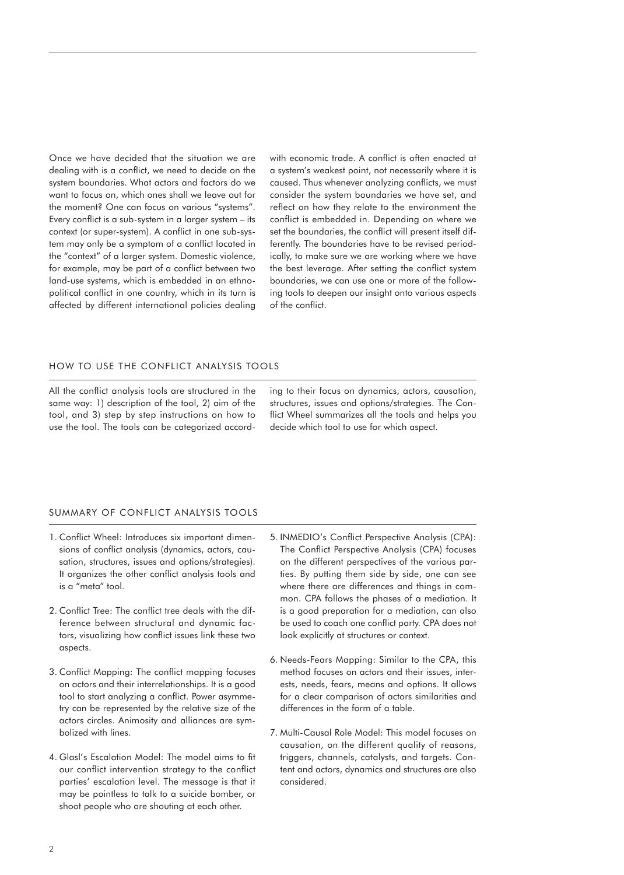Once we have decided that the situation we are dealing with is a conflict, we need to decide on the system boundaries. What actors and factors do we want to focus on, which ones shall we leave out for the moment? One can focus on various "systems". Every conflict is a sub-system in a larger system – its context (or super-system). A conflict in one sub-system may only be a symptom of a conflict located in the "context" of a larger system. Domestic violence, for example, may be part of a conflict between two land-use systems, which is embedded in an ethnopolitical conflict in one country, which in its turn is affected by different international policies dealing

with economic trade. A conflict is often enacted at a system's weakest point, not necessarily where it is caused. Thus whenever analyzing conflicts, we must consider the system boundaries we have set, and reflect on how they relate to the environment the conflict is embedded in. Depending on where we set the boundaries, the conflict will present itself differently. The boundaries have to be revised periodically, to make sure we are working where we have the best leverage. After setting the conflict system boundaries, we can use one or more of the following tools to deepen our insight onto various aspects of the conflict.

# HOW TO USE THE CONFLICT ANALYSIS TOOLS

All the conflict analysis tools are structured in the same way: 1) description of the tool, 2) aim of the tool, and 3) step by step instructions on how to use the tool. The tools can be categorized according to their focus on dynamics, actors, causation, structures, issues and options/strategies. The Conflict Wheel summarizes all the tools and helps you decide which tool to use for which aspect.

### SUMMARY OF CONFLICT ANALYSIS TOOLS

- 1. Conflict Wheel: Introduces six important dimensions of conflict analysis (dynamics, actors, causation, structures, issues and options/strategies). It organizes the other conflict analysis tools and is a "meta" tool.
- 2. Conflict Tree: The conflict tree deals with the difference between structural and dynamic factors, visualizing how conflict issues link these two aspects.
- 3. Conflict Mapping: The conflict mapping focuses on actors and their interrelationships. It is a good tool to start analyzing a conflict. Power asymmetry can be represented by the relative size of the actors circles. Animosity and alliances are symbolized with lines.
- 4. Glasl's Escalation Model: The model aims to fit our conflict intervention strategy to the conflict parties' escalation level. The message is that it may be pointless to talk to a suicide bomber, or shoot people who are shouting at each other.
- 5. INMEDIO's Conflict Perspective Analysis (CPA): The Conflict Perspective Analysis (CPA) focuses on the different perspectives of the various parties. By putting them side by side, one can see where there are differences and things in common. CPA follows the phases of a mediation. It is a good preparation for a mediation, can also be used to coach one conflict party. CPA does not look explicitly at structures or context.
- 6. Needs-Fears Mapping: Similar to the CPA, this method focuses on actors and their issues, interests, needs, fears, means and options. It allows for a clear comparison of actors similarities and differences in the form of a table.
- 7. Multi-Causal Role Model: This model focuses on causation, on the different quality of reasons, triggers, channels, catalysts, and targets. Content and actors, dynamics and structures are also considered.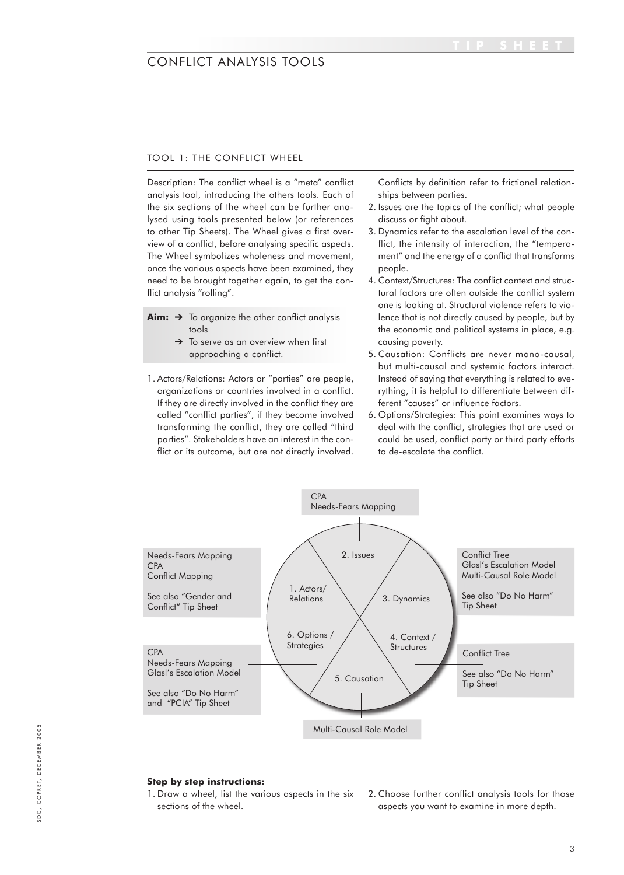## TOOL 1: THE CONFLICT WHEEL

Description: The conflict wheel is a "meta" conflict analysis tool, introducing the others tools. Each of the six sections of the wheel can be further analysed using tools presented below (or references to other Tip Sheets). The Wheel gives a first overview of a conflict, before analysing specific aspects. The Wheel symbolizes wholeness and movement, once the various aspects have been examined, they need to be brought together again, to get the conflict analysis "rolling".

- Aim: → To organize the other conflict analysis tools
	- $\rightarrow$  To serve as an overview when first approaching a conflict.
- 1. Actors/Relations: Actors or "parties" are people, organizations or countries involved in a conflict. If they are directly involved in the conflict they are called "conflict parties", if they become involved transforming the conflict, they are called "third parties". Stakeholders have an interest in the conflict or its outcome, but are not directly involved.

Conflicts by definition refer to frictional relationships between parties.

- 2. Issues are the topics of the conflict; what people discuss or fight about.
- 3. Dynamics refer to the escalation level of the conflict, the intensity of interaction, the "temperament" and the energy of a conflict that transforms people.
- 4. Context/Structures: The conflict context and structural factors are often outside the conflict system one is looking at. Structural violence refers to violence that is not directly caused by people, but by the economic and political systems in place, e.g. causing poverty.
- 5. Causation: Conflicts are never mono-causal, but multi-causal and systemic factors interact. Instead of saying that everything is related to everything, it is helpful to differentiate between different "causes" or influence factors.
- 6. Options/Strategies: This point examines ways to deal with the conflict, strategies that are used or could be used, conflict party or third party efforts to de-escalate the conflict.



## **Step by step instructions:**

1. Draw a wheel, list the various aspects in the six sections of the wheel.

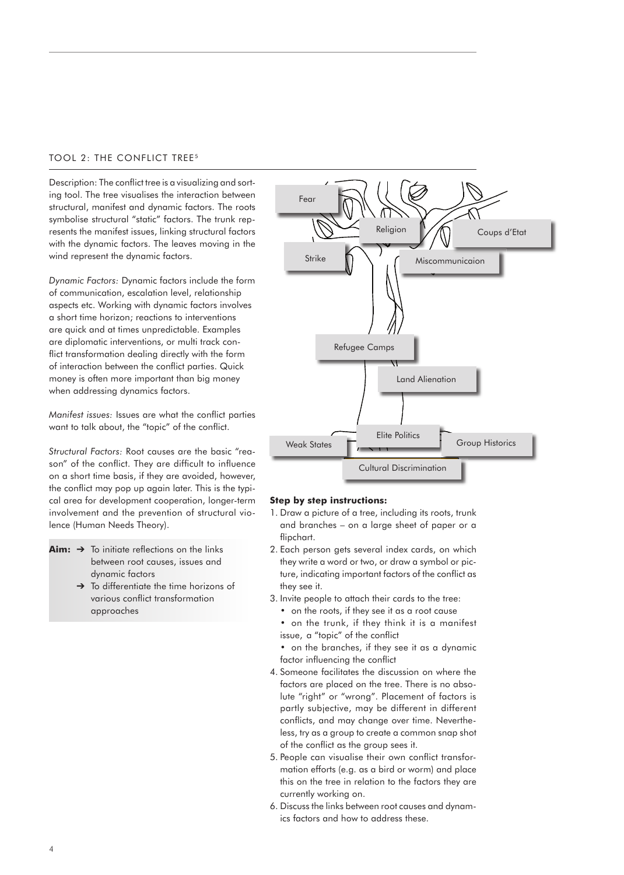# TOOL 2: THE CONFLICT TREE<sup>5</sup>

Description: The conflict tree is a visualizing and sorting tool. The tree visualises the interaction between structural, manifest and dynamic factors. The roots symbolise structural "static" factors. The trunk represents the manifest issues, linking structural factors with the dynamic factors. The leaves moving in the wind represent the dynamic factors.

*Dynamic Factors:* Dynamic factors include the form of communication, escalation level, relationship aspects etc. Working with dynamic factors involves a short time horizon; reactions to interventions are quick and at times unpredictable. Examples are diplomatic interventions, or multi track conflict transformation dealing directly with the form of interaction between the conflict parties. Quick money is often more important than big money when addressing dynamics factors.

*Manifest issues:* Issues are what the conflict parties want to talk about, the "topic" of the conflict.

*Structural Factors:* Root causes are the basic "reason" of the conflict. They are difficult to influence on a short time basis, if they are avoided, however, the conflict may pop up again later. This is the typical area for development cooperation, longer-term involvement and the prevention of structural violence (Human Needs Theory).

- $Aim: \rightarrow$  To initiate reflections on the links between root causes, issues and dynamic factors
	- ➔ To differentiate the time horizons of various conflict transformation approaches



### **Step by step instructions:**

- 1. Draw a picture of a tree, including its roots, trunk and branches – on a large sheet of paper or a flipchart.
- 2. Each person gets several index cards, on which they write a word or two, or draw a symbol or picture, indicating important factors of the conflict as they see it.
- 3. Invite people to attach their cards to the tree:
	- on the roots, if they see it as a root cause
	- on the trunk, if they think it is a manifest issue, a "topic" of the conflict
	- on the branches, if they see it as a dynamic factor influencing the conflict
- 4. Someone facilitates the discussion on where the factors are placed on the tree. There is no absolute "right" or "wrong". Placement of factors is partly subjective, may be different in different conflicts, and may change over time. Nevertheless, try as a group to create a common snap shot of the conflict as the group sees it.
- 5. People can visualise their own conflict transformation efforts (e.g. as a bird or worm) and place this on the tree in relation to the factors they are currently working on.
- 6. Discuss the links between root causes and dynamics factors and how to address these.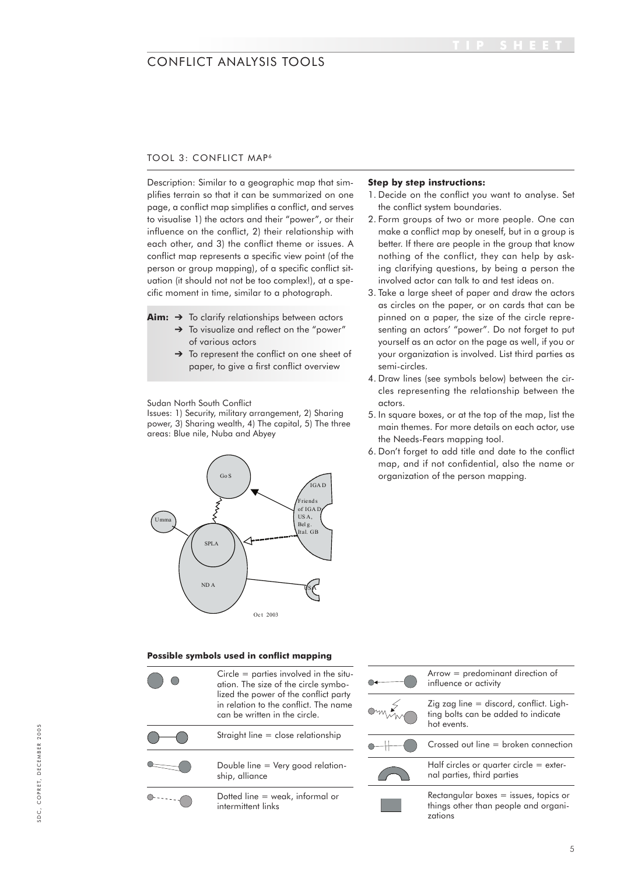# TOOL 3: CONFLICT MAP<sup>6</sup>

Description: Similar to a geographic map that simplifies terrain so that it can be summarized on one page, a conflict map simplifies a conflict, and serves to visualise 1) the actors and their "power", or their influence on the conflict, 2) their relationship with each other, and 3) the conflict theme or issues. A conflict map represents a specific view point (of the person or group mapping), of a specific conflict situation (it should not not be too complex!), at a specific moment in time, similar to a photograph.

**Aim:** ➔ To clarify relationships between actors

- → To visualize and reflect on the "power" of various actors
- ➔ To represent the conflict on one sheet of paper, to give a first conflict overview

Sudan North South Conflict

power, 3) Sharing wealth, 4) The capital, 5) The three areas: Blue nile, Nuba and Abyey Issues: 1) Security, military arrangement, 2) Sharing



### **Step by step instructions:**

- 1. Decide on the conflict you want to analyse. Set the conflict system boundaries.
- 2. Form groups of two or more people. One can make a conflict map by oneself, but in a group is better. If there are people in the group that know nothing of the conflict, they can help by asking clarifying questions, by being a person the involved actor can talk to and test ideas on.
- 3. Take a large sheet of paper and draw the actors as circles on the paper, or on cards that can be pinned on a paper, the size of the circle representing an actors' "power". Do not forget to put yourself as an actor on the page as well, if you or your organization is involved. List third parties as semi-circles.
- 4. Draw lines (see symbols below) between the circles representing the relationship between the actors.
- 5. In square boxes, or at the top of the map, list the main themes. For more details on each actor, use the Needs-Fears mapping tool.
- 6. Don't forget to add title and date to the conflict map, and if not confidential, also the name or Gos and the person mapping.

### **Possible symbols used in conflict mapping**

| $Circle =$ parties involved in the situ-<br>ation. The size of the circle symbo-<br>lized the power of the conflict party<br>in relation to the conflict. The name<br>can be written in the circle. |
|-----------------------------------------------------------------------------------------------------------------------------------------------------------------------------------------------------|
| Straight line $=$ close relationship                                                                                                                                                                |
| Double line $=$ Very good relation-<br>ship, alliance                                                                                                                                               |
| Dotted line $=$ weak, informal or<br>intermittent links                                                                                                                                             |

| $Arrow = predominant direction of$<br>influence or activity                                     |  |  |
|-------------------------------------------------------------------------------------------------|--|--|
| Zig zag line $=$ discord, conflict. Ligh-<br>ting bolts can be added to indicate<br>hot events. |  |  |
| Crossed out line = broken connection                                                            |  |  |
| Half circles or quarter circle $=$ exter-<br>nal parties, third parties                         |  |  |
| Rectangular boxes $=$ issues, topics or<br>things other than people and organi-<br>zations      |  |  |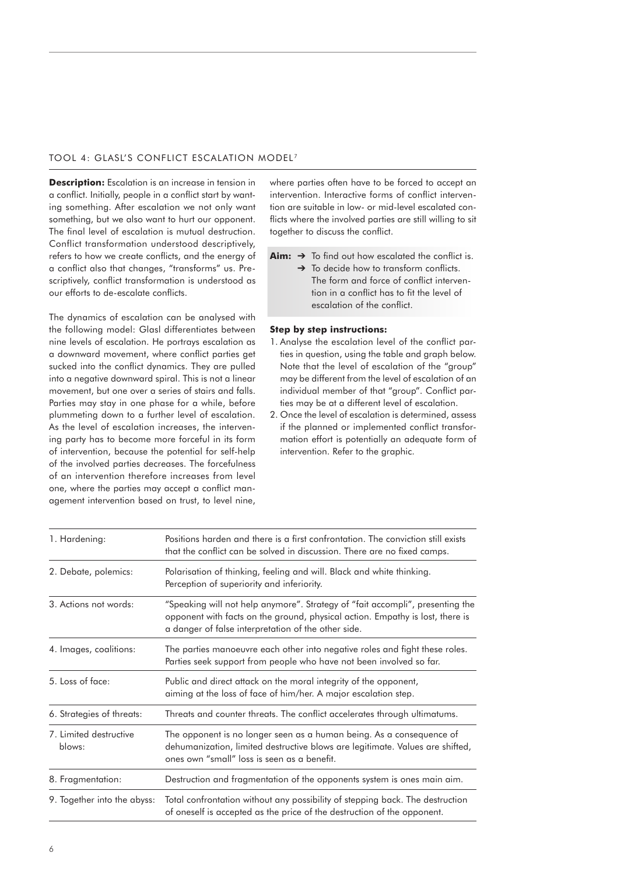## TOOL 4: GLASL'S CONFLICT ESCALATION MODEL<sup>7</sup>

**Description:** Escalation is an increase in tension in a conflict. Initially, people in a conflict start by wanting something. After escalation we not only want something, but we also want to hurt our opponent. The final level of escalation is mutual destruction. Conflict transformation understood descriptively, refers to how we create conflicts, and the energy of a conflict also that changes, "transforms" us. Prescriptively, conflict transformation is understood as our efforts to de-escalate conflicts.

The dynamics of escalation can be analysed with the following model: Glasl differentiates between nine levels of escalation. He portrays escalation as a downward movement, where conflict parties get sucked into the conflict dynamics. They are pulled into a negative downward spiral. This is not a linear movement, but one over a series of stairs and falls. Parties may stay in one phase for a while, before plummeting down to a further level of escalation. As the level of escalation increases, the intervening party has to become more forceful in its form of intervention, because the potential for self-help of the involved parties decreases. The forcefulness of an intervention therefore increases from level one, where the parties may accept a conflict management intervention based on trust, to level nine,

where parties often have to be forced to accept an intervention. Interactive forms of conflict intervention are suitable in low- or mid-level escalated conflicts where the involved parties are still willing to sit together to discuss the conflict.

- **Aim:** ➔ To find out how escalated the conflict is.
	- → To decide how to transform conflicts. The form and force of conflict intervention in a conflict has to fit the level of escalation of the conflict.

## **Step by step instructions:**

- 1. Analyse the escalation level of the conflict parties in question, using the table and graph below. Note that the level of escalation of the "group" may be different from the level of escalation of an individual member of that "group". Conflict parties may be at a different level of escalation.
- 2. Once the level of escalation is determined, assess if the planned or implemented conflict transformation effort is potentially an adequate form of intervention. Refer to the graphic.

| 1. Hardening:                    | Positions harden and there is a first confrontation. The conviction still exists<br>that the conflict can be solved in discussion. There are no fixed camps.                                                          |  |  |
|----------------------------------|-----------------------------------------------------------------------------------------------------------------------------------------------------------------------------------------------------------------------|--|--|
| 2. Debate, polemics:             | Polarisation of thinking, feeling and will. Black and white thinking.<br>Perception of superiority and inferiority.                                                                                                   |  |  |
| 3. Actions not words:            | "Speaking will not help anymore". Strategy of "fait accompli", presenting the<br>opponent with facts on the ground, physical action. Empathy is lost, there is<br>a danger of false interpretation of the other side. |  |  |
| 4. Images, coalitions:           | The parties manoeuvre each other into negative roles and fight these roles.<br>Parties seek support from people who have not been involved so far.                                                                    |  |  |
| 5. Loss of face:                 | Public and direct attack on the moral integrity of the opponent,<br>aiming at the loss of face of him/her. A major escalation step.                                                                                   |  |  |
| 6. Strategies of threats:        | Threats and counter threats. The conflict accelerates through ultimatums.                                                                                                                                             |  |  |
| 7. Limited destructive<br>blows: | The opponent is no longer seen as a human being. As a consequence of<br>dehumanization, limited destructive blows are legitimate. Values are shifted,<br>ones own "small" loss is seen as a benefit.                  |  |  |
| 8. Fragmentation:                | Destruction and fragmentation of the opponents system is ones main aim.                                                                                                                                               |  |  |
| 9. Together into the abyss:      | Total confrontation without any possibility of stepping back. The destruction<br>of oneself is accepted as the price of the destruction of the opponent.                                                              |  |  |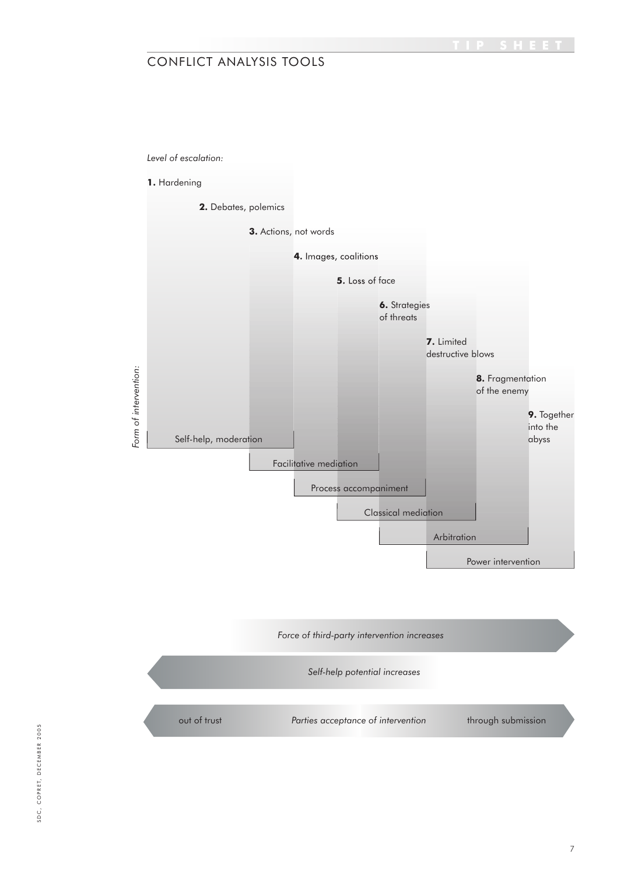

out of trust **Parties acceptance of intervention** through submission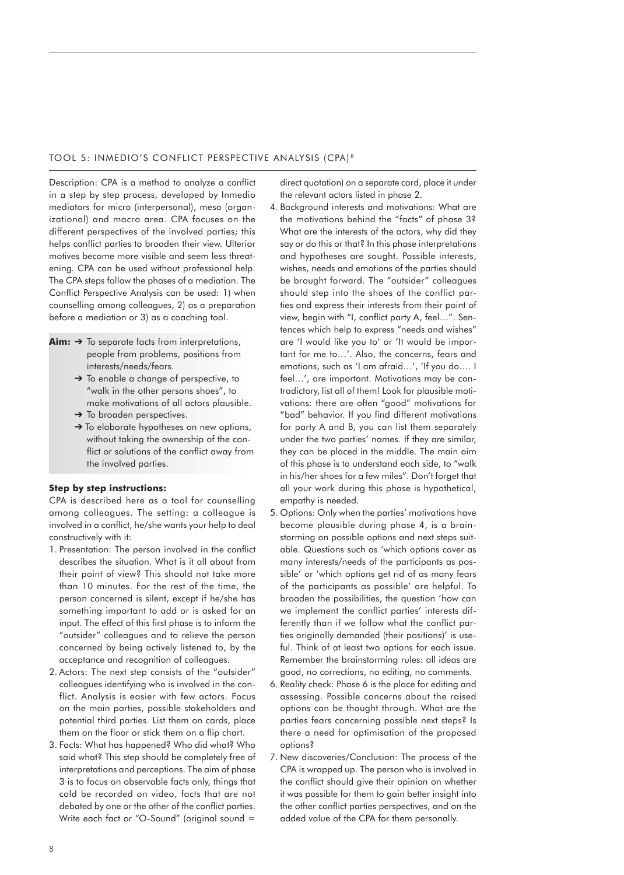### TOOL 5: INMEDIO'S CONFLICT PERSPECTIVE ANALYSIS (CPA) <sup>8</sup>

Description: CPA is a method to analyze a conflict in a step by step process, developed by Inmedio mediators for micro (interpersonal), meso (organizational) and macro area. CPA focuses on the different perspectives of the involved parties; this helps conflict parties to broaden their view. Ulterior motives become more visible and seem less threatening. CPA can be used without professional help. The CPA steps follow the phases of a mediation. The Conflict Perspective Analysis can be used: 1) when counselling among colleagues, 2) as a preparation before a mediation or 3) as a coaching tool.

- **Aim:** ➔ To separate facts from interpretations, people from problems, positions from interests/needs/fears.
	- ➔ To enable a change of perspective, to "walk in the other persons shoes", to make motivations of all actors plausible.
	- $\rightarrow$  To broaden perspectives.
	- → To elaborate hypotheses on new options, without taking the ownership of the conflict or solutions of the conflict away from the involved parties.

### **Step by step instructions:**

CPA is described here as a tool for counselling among colleagues. The setting: a colleague is involved in a conflict, he/she wants your help to deal constructively with it:

- 1. Presentation: The person involved in the conflict describes the situation. What is it all about from their point of view? This should not take more than 10 minutes. For the rest of the time, the person concerned is silent, except if he/she has something important to add or is asked for an input. The effect of this first phase is to inform the "outsider" colleagues and to relieve the person concerned by being actively listened to, by the acceptance and recognition of colleagues.
- 2. Actors: The next step consists of the "outsider" colleagues identifying who is involved in the conflict. Analysis is easier with few actors. Focus on the main parties, possible stakeholders and potential third parties. List them on cards, place them on the floor or stick them on a flip chart.
- 3. Facts: What has happened? Who did what? Who said what? This step should be completely free of interpretations and perceptions. The aim of phase 3 is to focus on observable facts only, things that cold be recorded on video, facts that are not debated by one or the other of the conflict parties. Write each fact or "O-Sound" (original sound =

direct quotation) on a separate card, place it under the relevant actors listed in phase 2.

- 4. Background interests and motivations: What are the motivations behind the "facts" of phase 3? What are the interests of the actors, why did they say or do this or that? In this phase interpretations and hypotheses are sought. Possible interests, wishes, needs and emotions of the parties should be brought forward. The "outsider" colleagues should step into the shoes of the conflict parties and express their interests from their point of view, begin with "I, conflict party A, feel…". Sentences which help to express "needs and wishes" are 'I would like you to' or 'It would be important for me to…'. Also, the concerns, fears and emotions, such as 'I am afraid…', 'If you do…. I feel…', are important. Motivations may be contradictory, list all of them! Look for plausible motivations: there are often "good" motivations for "bad" behavior. If you find different motivations for party A and B, you can list them separately under the two parties' names. If they are similar, they can be placed in the middle. The main aim of this phase is to understand each side, to "walk in his/her shoes for a few miles". Don't forget that all your work during this phase is hypothetical, empathy is needed.
- 5. Options: Only when the parties' motivations have become plausible during phase 4, is a brainstorming on possible options and next steps suitable. Questions such as 'which options cover as many interests/needs of the participants as possible' or 'which options get rid of as many fears of the participants as possible' are helpful. To broaden the possibilities, the question 'how can we implement the conflict parties' interests differently than if we follow what the conflict parties originally demanded (their positions)' is useful. Think of at least two options for each issue. Remember the brainstorming rules: all ideas are good, no corrections, no editing, no comments.
- 6. Reality check: Phase 6 is the place for editing and assessing. Possible concerns about the raised options can be thought through. What are the parties fears concerning possible next steps? Is there a need for optimisation of the proposed options?
- 7. New discoveries/Conclusion: The process of the CPA is wrapped up. The person who is involved in the conflict should give their opinion on whether it was possible for them to gain better insight into the other conflict parties perspectives, and on the added value of the CPA for them personally.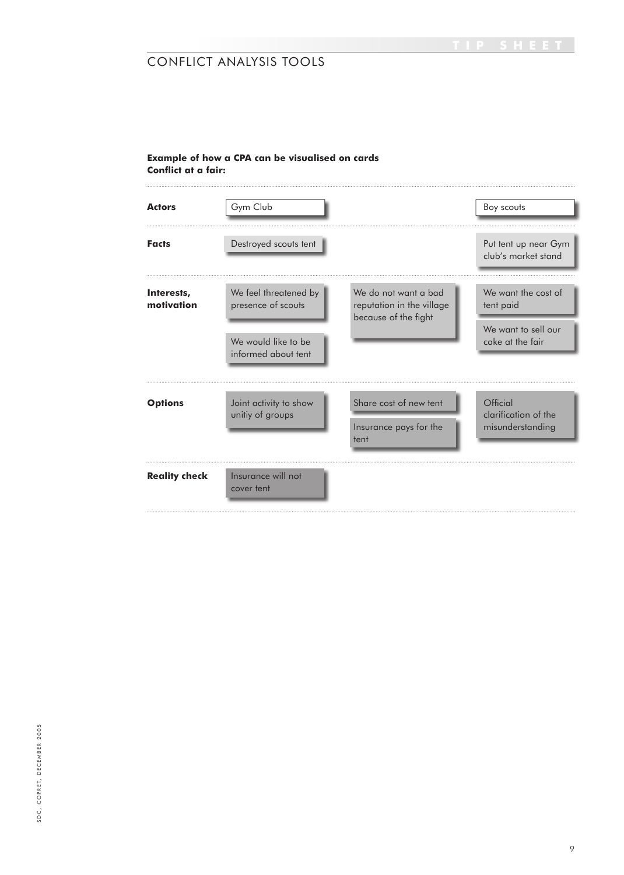# **Example of how a CPA can be visualised on cards Conflict at a fair:**

| <b>Actors</b>            | Gym Club                                                                                  |                                                                           | Boy scouts                                                                  |
|--------------------------|-------------------------------------------------------------------------------------------|---------------------------------------------------------------------------|-----------------------------------------------------------------------------|
| <b>Facts</b>             | Destroyed scouts tent                                                                     |                                                                           | Put tent up near Gym<br>club's market stand                                 |
| Interests,<br>motivation | We feel threatened by<br>presence of scouts<br>We would like to be<br>informed about tent | We do not want a bad<br>reputation in the village<br>because of the fight | We want the cost of<br>tent paid<br>We want to sell our<br>cake at the fair |
| <b>Options</b>           | Joint activity to show<br>unitiy of groups                                                | Share cost of new tent<br>Insurance pays for the<br>tent                  | Official<br>clarification of the<br>misunderstanding                        |
| <b>Reality check</b>     | Insurance will not<br>cover tent                                                          |                                                                           |                                                                             |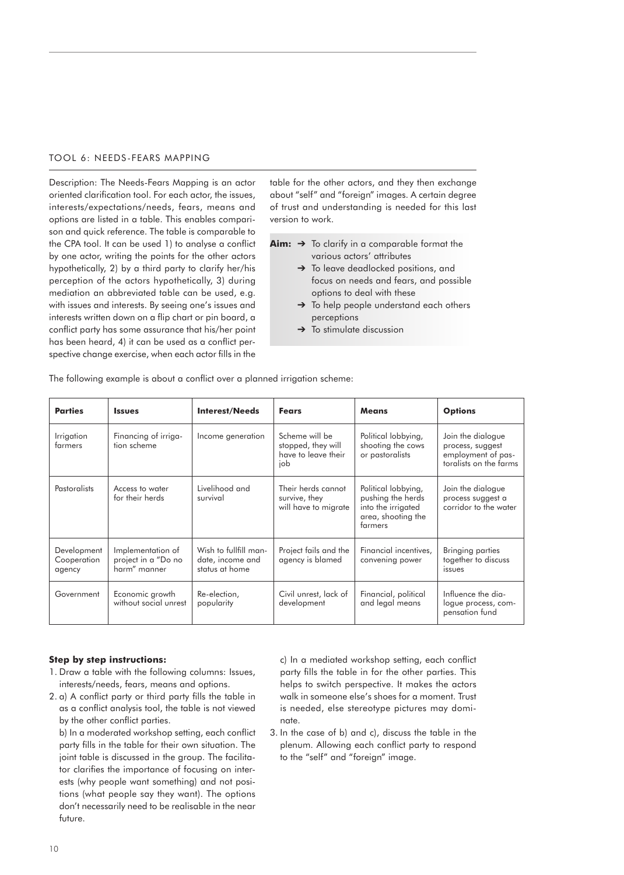### TOOL 6: NEEDS-FEARS MAPPING

Description: The Needs-Fears Mapping is an actor oriented clarification tool. For each actor, the issues, interests/expectations/needs, fears, means and options are listed in a table. This enables comparison and quick reference. The table is comparable to the CPA tool. It can be used 1) to analyse a conflict by one actor, writing the points for the other actors hypothetically, 2) by a third party to clarify her/his perception of the actors hypothetically, 3) during mediation an abbreviated table can be used, e.g. with issues and interests. By seeing one's issues and interests written down on a flip chart or pin board, a conflict party has some assurance that his/her point has been heard, 4) it can be used as a conflict perspective change exercise, when each actor fills in the

table for the other actors, and they then exchange about "self" and "foreign" images. A certain degree of trust and understanding is needed for this last version to work.

- **Aim:** ➔ To clarify in a comparable format the various actors' attributes
	- ➔ To leave deadlocked positions, and focus on needs and fears, and possible options to deal with these
	- To help people understand each others perceptions
	- $\rightarrow$  To stimulate discussion

| <b>Parties</b>                       | <b>Issues</b>                                            | <b>Interest/Needs</b>                                       | <b>Fears</b>                                                       | <b>Means</b>                                                                                    | <b>Options</b>                                                                        |
|--------------------------------------|----------------------------------------------------------|-------------------------------------------------------------|--------------------------------------------------------------------|-------------------------------------------------------------------------------------------------|---------------------------------------------------------------------------------------|
| Irrigation<br>farmers                | Financing of irriga-<br>tion scheme                      | Income generation                                           | Scheme will be<br>stopped, they will<br>have to leave their<br>iob | Political lobbying,<br>shooting the cows<br>or pastoralists                                     | Join the dialogue<br>process, suggest<br>employment of pas-<br>toralists on the farms |
| <b>Pastoralists</b>                  | Access to water<br>for their herds                       | Livelihood and<br>survival                                  | Their herds cannot<br>survive, they<br>will have to migrate        | Political lobbying,<br>pushing the herds<br>into the irrigated<br>area, shooting the<br>farmers | Join the dialogue<br>process suggest a<br>corridor to the water                       |
| Development<br>Cooperation<br>agency | Implementation of<br>project in a "Do no<br>harm" manner | Wish to fullfill man-<br>date, income and<br>status at home | Project fails and the<br>agency is blamed                          | Financial incentives.<br>convening power                                                        | Bringing parties<br>together to discuss<br><i>issues</i>                              |
| Government                           | Economic growth<br>without social unrest                 | Re-election,<br>popularity                                  | Civil unrest, lack of<br>development                               | Financial, political<br>and legal means                                                         | Influence the dia-<br>logue process, com-<br>pensation fund                           |

The following example is about a conflict over a planned irrigation scheme:

### **Step by step instructions:**

- 1. Draw a table with the following columns: Issues, interests/needs, fears, means and options.
- 2. a) A conflict party or third party fills the table in as a conflict analysis tool, the table is not viewed by the other conflict parties.

 b) In a moderated workshop setting, each conflict party fills in the table for their own situation. The joint table is discussed in the group. The facilitator clarifies the importance of focusing on interests (why people want something) and not positions (what people say they want). The options don't necessarily need to be realisable in the near future.

 c) In a mediated workshop setting, each conflict party fills the table in for the other parties. This helps to switch perspective. It makes the actors walk in someone else's shoes for a moment. Trust is needed, else stereotype pictures may dominate.

3. In the case of b) and c), discuss the table in the plenum. Allowing each conflict party to respond to the "self" and "foreign" image.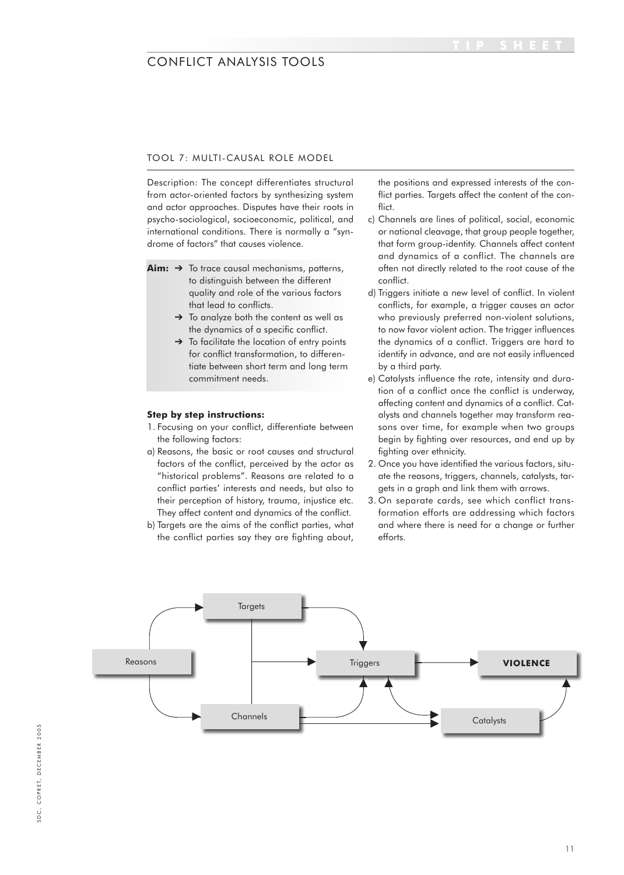# TOOL 7: MULTI-CAUSAL ROLE MODEL

Description: The concept differentiates structural from actor-oriented factors by synthesizing system and actor approaches. Disputes have their roots in psycho-sociological, socioeconomic, political, and international conditions. There is normally a "syndrome of factors" that causes violence.

- **Aim:** ➔ To trace causal mechanisms, patterns, to distinguish between the different quality and role of the various factors that lead to conflicts.
	- → To analyze both the content as well as the dynamics of a specific conflict.
	- $\rightarrow$  To facilitate the location of entry points for conflict transformation, to differentiate between short term and long term commitment needs.

### **Step by step instructions:**

- 1. Focusing on your conflict, differentiate between the following factors:
- a) Reasons, the basic or root causes and structural factors of the conflict, perceived by the actor as "historical problems". Reasons are related to a conflict parties' interests and needs, but also to their perception of history, trauma, injustice etc. They affect content and dynamics of the conflict.
- b) Targets are the aims of the conflict parties, what the conflict parties say they are fighting about,

the positions and expressed interests of the conflict parties. Targets affect the content of the conflict.

- c) Channels are lines of political, social, economic or national cleavage, that group people together, that form group-identity. Channels affect content and dynamics of a conflict. The channels are often not directly related to the root cause of the conflict.
- d) Triggers initiate a new level of conflict. In violent conflicts, for example, a trigger causes an actor who previously preferred non-violent solutions, to now favor violent action. The trigger influences the dynamics of a conflict. Triggers are hard to identify in advance, and are not easily influenced by a third party.
- e) Catalysts influence the rate, intensity and duration of a conflict once the conflict is underway, affecting content and dynamics of a conflict. Catalysts and channels together may transform reasons over time, for example when two groups begin by fighting over resources, and end up by fighting over ethnicity.
- 2. Once you have identified the various factors, situate the reasons, triggers, channels, catalysts, targets in a graph and link them with arrows.
- 3. On separate cards, see which conflict transformation efforts are addressing which factors and where there is need for a change or further efforts.